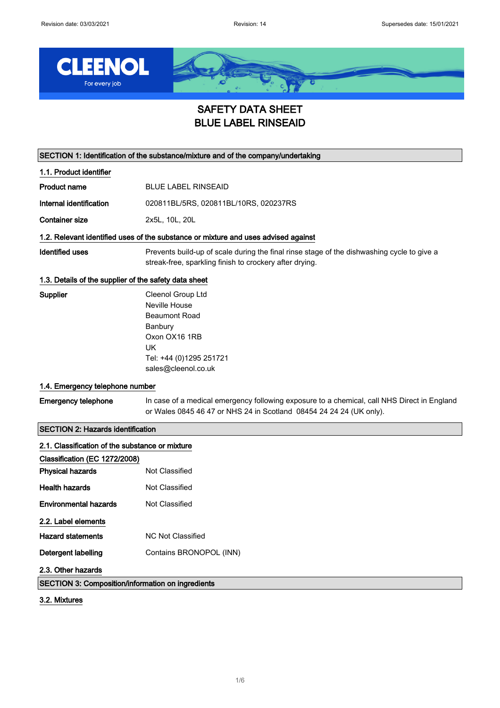

# SAFETY DATA SHEET BLUE LABEL RINSEAID

SECTION 1: Identification of the substance/mixture and of the company/undertaking

| 1.1. Product identifier               |  |
|---------------------------------------|--|
| <b>BLUE LABEL RINSEAID</b>            |  |
| 020811BL/5RS, 020811BL/10RS, 020237RS |  |
| 2x5L, 10L, 20L                        |  |
|                                       |  |

### 1.2. Relevant identified uses of the substance or mixture and uses advised against

Identified uses **Prevents build-up of scale during the final rinse stage of the dishwashing cycle to give a** streak-free, sparkling finish to crockery after drying.

### 1.3. Details of the supplier of the safety data sheet

| Supplier | Cleenol Group Ltd       |
|----------|-------------------------|
|          | Neville House           |
|          | Beaumont Road           |
|          | Banbury                 |
|          | Oxon OX16 1RB           |
|          | UK                      |
|          | Tel: +44 (0)1295 251721 |
|          | sales@cleenol.co.uk     |
|          |                         |

### 1.4. Emergency telephone number

| <b>Emergency telephone</b> | In case of a medical emergency following exposure to a chemical, call NHS Direct in England |
|----------------------------|---------------------------------------------------------------------------------------------|
|                            | or Wales 0845 46 47 or NHS 24 in Scotland 08454 24 24 24 (UK only).                         |

### SECTION 2: Hazards identification

| 2.1. Classification of the substance or mixture          |                         |
|----------------------------------------------------------|-------------------------|
| Classification (EC 1272/2008)                            |                         |
| <b>Physical hazards</b>                                  | Not Classified          |
| <b>Health hazards</b>                                    | Not Classified          |
| <b>Environmental hazards</b>                             | Not Classified          |
| 2.2. Label elements                                      |                         |
| <b>Hazard statements</b>                                 | NC Not Classified       |
| Detergent labelling                                      | Contains BRONOPOL (INN) |
| 2.3. Other hazards                                       |                         |
| <b>SECTION 3: Composition/information on ingredients</b> |                         |

### 3.2. Mixtures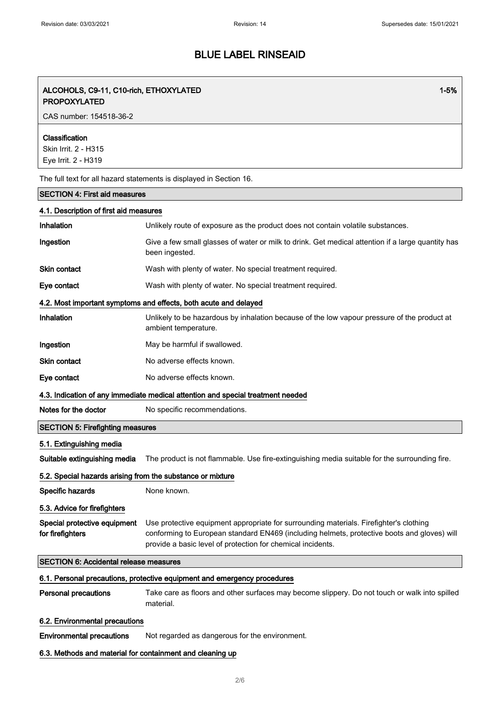1-5%

# BLUE LABEL RINSEAID

### ALCOHOLS, C9-11, C10-rich, ETHOXYLATED PROPOXYLATED

CAS number: 154518-36-2

### Classification

Skin Irrit. 2 - H315 Eye Irrit. 2 - H319

The full text for all hazard statements is displayed in Section 16.

### SECTION 4: First aid measures

| 4.1. Description of first aid measures                                          |                                                                                                                                                                                                                                                      |  |
|---------------------------------------------------------------------------------|------------------------------------------------------------------------------------------------------------------------------------------------------------------------------------------------------------------------------------------------------|--|
| Inhalation                                                                      | Unlikely route of exposure as the product does not contain volatile substances.                                                                                                                                                                      |  |
| Ingestion                                                                       | Give a few small glasses of water or milk to drink. Get medical attention if a large quantity has<br>been ingested.                                                                                                                                  |  |
| <b>Skin contact</b>                                                             | Wash with plenty of water. No special treatment required.                                                                                                                                                                                            |  |
| Eye contact                                                                     | Wash with plenty of water. No special treatment required.                                                                                                                                                                                            |  |
|                                                                                 | 4.2. Most important symptoms and effects, both acute and delayed                                                                                                                                                                                     |  |
| Inhalation                                                                      | Unlikely to be hazardous by inhalation because of the low vapour pressure of the product at<br>ambient temperature.                                                                                                                                  |  |
| Ingestion                                                                       | May be harmful if swallowed.                                                                                                                                                                                                                         |  |
| Skin contact                                                                    | No adverse effects known.                                                                                                                                                                                                                            |  |
| Eye contact                                                                     | No adverse effects known.                                                                                                                                                                                                                            |  |
| 4.3. Indication of any immediate medical attention and special treatment needed |                                                                                                                                                                                                                                                      |  |
| Notes for the doctor                                                            | No specific recommendations.                                                                                                                                                                                                                         |  |
| <b>SECTION 5: Firefighting measures</b>                                         |                                                                                                                                                                                                                                                      |  |
|                                                                                 |                                                                                                                                                                                                                                                      |  |
| 5.1. Extinguishing media                                                        |                                                                                                                                                                                                                                                      |  |
| Suitable extinguishing media                                                    | The product is not flammable. Use fire-extinguishing media suitable for the surrounding fire.                                                                                                                                                        |  |
| 5.2. Special hazards arising from the substance or mixture                      |                                                                                                                                                                                                                                                      |  |
| Specific hazards                                                                | None known.                                                                                                                                                                                                                                          |  |
| 5.3. Advice for firefighters                                                    |                                                                                                                                                                                                                                                      |  |
| Special protective equipment<br>for firefighters                                | Use protective equipment appropriate for surrounding materials. Firefighter's clothing<br>conforming to European standard EN469 (including helmets, protective boots and gloves) will<br>provide a basic level of protection for chemical incidents. |  |
| <b>SECTION 6: Accidental release measures</b>                                   |                                                                                                                                                                                                                                                      |  |
|                                                                                 | 6.1. Personal precautions, protective equipment and emergency procedures                                                                                                                                                                             |  |
| <b>Personal precautions</b>                                                     | Take care as floors and other surfaces may become slippery. Do not touch or walk into spilled<br>material.                                                                                                                                           |  |
| 6.2. Environmental precautions                                                  |                                                                                                                                                                                                                                                      |  |
| <b>Environmental precautions</b>                                                | Not regarded as dangerous for the environment.                                                                                                                                                                                                       |  |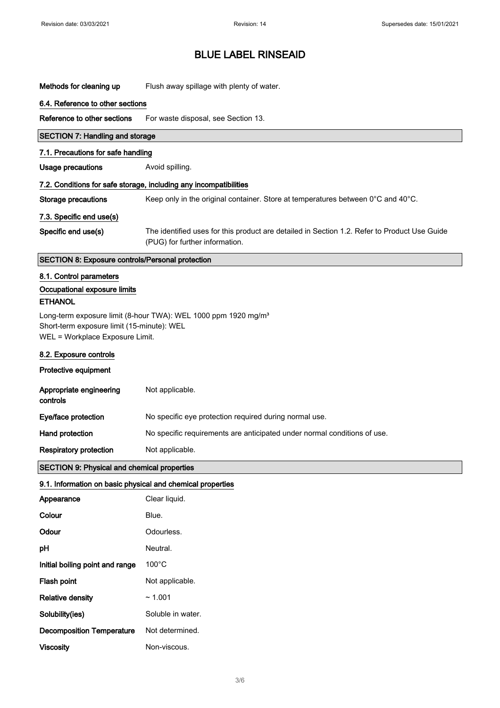Methods for cleaning up Flush away spillage with plenty of water.

### 6.4. Reference to other sections

Reference to other sections For waste disposal, see Section 13.

### SECTION 7: Handling and storage

#### 7.1. Precautions for safe handling

Usage precautions **Avoid spilling**.

### 7.2. Conditions for safe storage, including any incompatibilities

Storage precautions Keep only in the original container. Store at temperatures between 0°C and 40°C.

### 7.3. Specific end use(s)

Specific end use(s) The identified uses for this product are detailed in Section 1.2. Refer to Product Use Guide (PUG) for further information.

#### SECTION 8: Exposure controls/Personal protection

### 8.1. Control parameters

### Occupational exposure limits **ETHANOL**

Long-term exposure limit (8-hour TWA): WEL 1000 ppm 1920 mg/m<sup>3</sup> Short-term exposure limit (15-minute): WEL WEL = Workplace Exposure Limit.

### 8.2. Exposure controls

#### Protective equipment

| Appropriate engineering<br>controls | Not applicable.                                                          |
|-------------------------------------|--------------------------------------------------------------------------|
| Eye/face protection                 | No specific eye protection required during normal use.                   |
| Hand protection                     | No specific requirements are anticipated under normal conditions of use. |
| <b>Respiratory protection</b>       | Not applicable.                                                          |

#### SECTION 9: Physical and chemical properties

### 9.1. Information on basic physical and chemical properties

| Appearance                       | Clear liquid.     |
|----------------------------------|-------------------|
| Colour                           | Blue.             |
| Odour                            | Odourless.        |
| pH                               | Neutral.          |
| Initial boiling point and range  | $100^{\circ}$ C   |
| Flash point                      | Not applicable.   |
| <b>Relative density</b>          | ~1.001            |
| Solubility(ies)                  | Soluble in water. |
| <b>Decomposition Temperature</b> | Not determined.   |
| <b>Viscosity</b>                 | Non-viscous.      |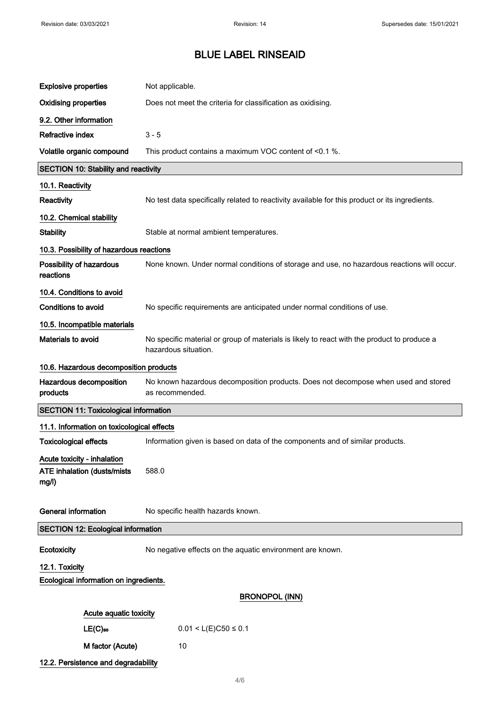| <b>Explosive properties</b>                                                | Not applicable.                                                                                                     |  |
|----------------------------------------------------------------------------|---------------------------------------------------------------------------------------------------------------------|--|
| <b>Oxidising properties</b>                                                | Does not meet the criteria for classification as oxidising.                                                         |  |
| 9.2. Other information                                                     |                                                                                                                     |  |
| Refractive index                                                           | $3 - 5$                                                                                                             |  |
| Volatile organic compound                                                  | This product contains a maximum VOC content of <0.1 %.                                                              |  |
| <b>SECTION 10: Stability and reactivity</b>                                |                                                                                                                     |  |
| 10.1. Reactivity                                                           |                                                                                                                     |  |
| Reactivity                                                                 | No test data specifically related to reactivity available for this product or its ingredients.                      |  |
| 10.2. Chemical stability                                                   |                                                                                                                     |  |
| <b>Stability</b>                                                           | Stable at normal ambient temperatures.                                                                              |  |
| 10.3. Possibility of hazardous reactions                                   |                                                                                                                     |  |
| Possibility of hazardous<br>reactions                                      | None known. Under normal conditions of storage and use, no hazardous reactions will occur.                          |  |
| 10.4. Conditions to avoid                                                  |                                                                                                                     |  |
| <b>Conditions to avoid</b>                                                 | No specific requirements are anticipated under normal conditions of use.                                            |  |
| 10.5. Incompatible materials                                               |                                                                                                                     |  |
| Materials to avoid                                                         | No specific material or group of materials is likely to react with the product to produce a<br>hazardous situation. |  |
| 10.6. Hazardous decomposition products                                     |                                                                                                                     |  |
| Hazardous decomposition<br>products                                        | No known hazardous decomposition products. Does not decompose when used and stored<br>as recommended.               |  |
| <b>SECTION 11: Toxicological information</b>                               |                                                                                                                     |  |
| 11.1. Information on toxicological effects                                 |                                                                                                                     |  |
| <b>Toxicological effects</b>                                               | Information given is based on data of the components and of similar products.                                       |  |
| Acute toxicity - inhalation<br><b>ATE inhalation (dusts/mists</b><br>mg/l) | 588.0                                                                                                               |  |
| <b>General information</b>                                                 | No specific health hazards known.                                                                                   |  |
| <b>SECTION 12: Ecological information</b>                                  |                                                                                                                     |  |
| Ecotoxicity                                                                | No negative effects on the aquatic environment are known.                                                           |  |
| 12.1. Toxicity                                                             |                                                                                                                     |  |
| Ecological information on ingredients.                                     |                                                                                                                     |  |
|                                                                            | <b>BRONOPOL (INN)</b>                                                                                               |  |
| Acute aquatic toxicity                                                     |                                                                                                                     |  |
| $LE(C)$ <sub>50</sub>                                                      | $0.01 < L(E)C50 \le 0.1$                                                                                            |  |
| M factor (Acute)                                                           | 10                                                                                                                  |  |
| 12.2. Persistence and degradability                                        |                                                                                                                     |  |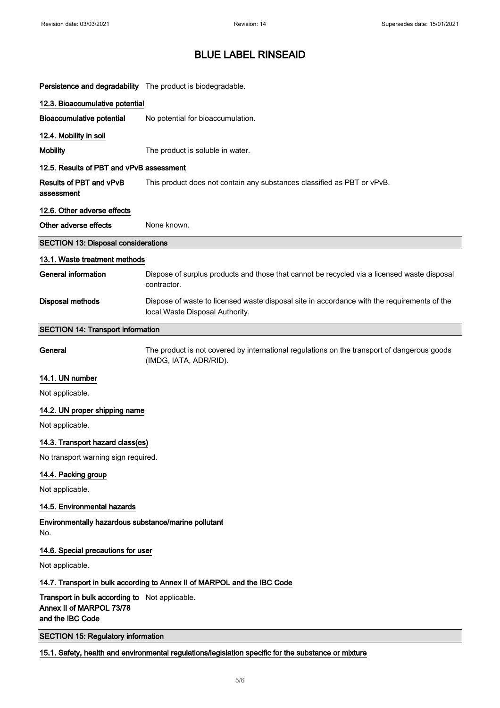| Persistence and degradability The product is biodegradable.                                    |                                                                                                                                |  |
|------------------------------------------------------------------------------------------------|--------------------------------------------------------------------------------------------------------------------------------|--|
| 12.3. Bioaccumulative potential                                                                |                                                                                                                                |  |
| <b>Bioaccumulative potential</b>                                                               | No potential for bioaccumulation.                                                                                              |  |
| 12.4. Mobility in soil                                                                         |                                                                                                                                |  |
| <b>Mobility</b>                                                                                | The product is soluble in water.                                                                                               |  |
| 12.5. Results of PBT and vPvB assessment                                                       |                                                                                                                                |  |
| <b>Results of PBT and vPvB</b><br>assessment                                                   | This product does not contain any substances classified as PBT or vPvB.                                                        |  |
| 12.6. Other adverse effects                                                                    |                                                                                                                                |  |
| Other adverse effects                                                                          | None known.                                                                                                                    |  |
| <b>SECTION 13: Disposal considerations</b>                                                     |                                                                                                                                |  |
| 13.1. Waste treatment methods                                                                  |                                                                                                                                |  |
| General information                                                                            | Dispose of surplus products and those that cannot be recycled via a licensed waste disposal<br>contractor.                     |  |
| Disposal methods                                                                               | Dispose of waste to licensed waste disposal site in accordance with the requirements of the<br>local Waste Disposal Authority. |  |
| <b>SECTION 14: Transport information</b>                                                       |                                                                                                                                |  |
| General                                                                                        | The product is not covered by international regulations on the transport of dangerous goods<br>(IMDG, IATA, ADR/RID).          |  |
| 14.1. UN number                                                                                |                                                                                                                                |  |
| Not applicable.                                                                                |                                                                                                                                |  |
| 14.2. UN proper shipping name                                                                  |                                                                                                                                |  |
| Not applicable.                                                                                |                                                                                                                                |  |
| 14.3. Transport hazard class(es)                                                               |                                                                                                                                |  |
| No transport warning sign required.                                                            |                                                                                                                                |  |
| 14.4. Packing group                                                                            |                                                                                                                                |  |
| Not applicable.                                                                                |                                                                                                                                |  |
| 14.5. Environmental hazards                                                                    |                                                                                                                                |  |
| Environmentally hazardous substance/marine pollutant<br>No.                                    |                                                                                                                                |  |
| 14.6. Special precautions for user                                                             |                                                                                                                                |  |
| Not applicable.                                                                                |                                                                                                                                |  |
|                                                                                                | 14.7. Transport in bulk according to Annex II of MARPOL and the IBC Code                                                       |  |
| Transport in bulk according to Not applicable.<br>Annex II of MARPOL 73/78<br>and the IBC Code |                                                                                                                                |  |

SECTION 15: Regulatory information

15.1. Safety, health and environmental regulations/legislation specific for the substance or mixture